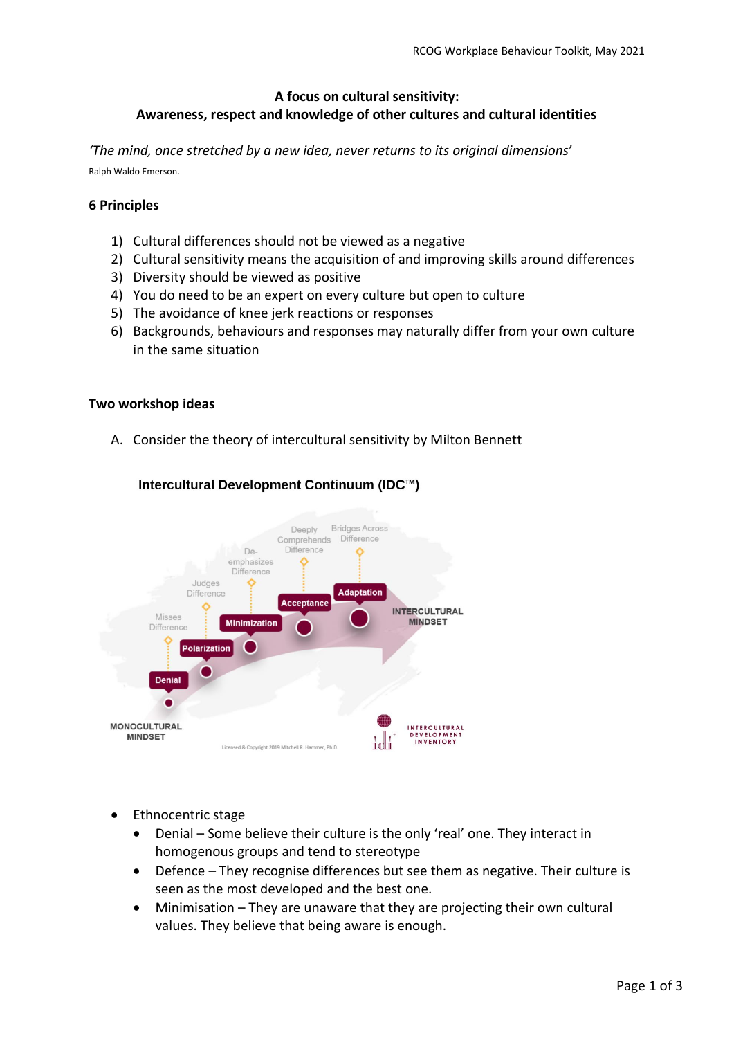# **A focus on cultural sensitivity: Awareness, respect and knowledge of other cultures and cultural identities**

*'The mind, once stretched by a new idea, never returns to its original dimensions*' Ralph Waldo Emerson.

### **6 Principles**

- 1) Cultural differences should not be viewed as a negative
- 2) Cultural sensitivity means the acquisition of and improving skills around differences
- 3) Diversity should be viewed as positive
- 4) You do need to be an expert on every culture but open to culture
- 5) The avoidance of knee jerk reactions or responses
- 6) Backgrounds, behaviours and responses may naturally differ from your own culture in the same situation

### **Two workshop ideas**

A. Consider the theory of intercultural sensitivity by Milton Bennett



## Intercultural Development Continuum (IDC™)

- Ethnocentric stage
	- Denial Some believe their culture is the only 'real' one. They interact in homogenous groups and tend to stereotype
	- Defence They recognise differences but see them as negative. Their culture is seen as the most developed and the best one.
	- Minimisation They are unaware that they are projecting their own cultural values. They believe that being aware is enough.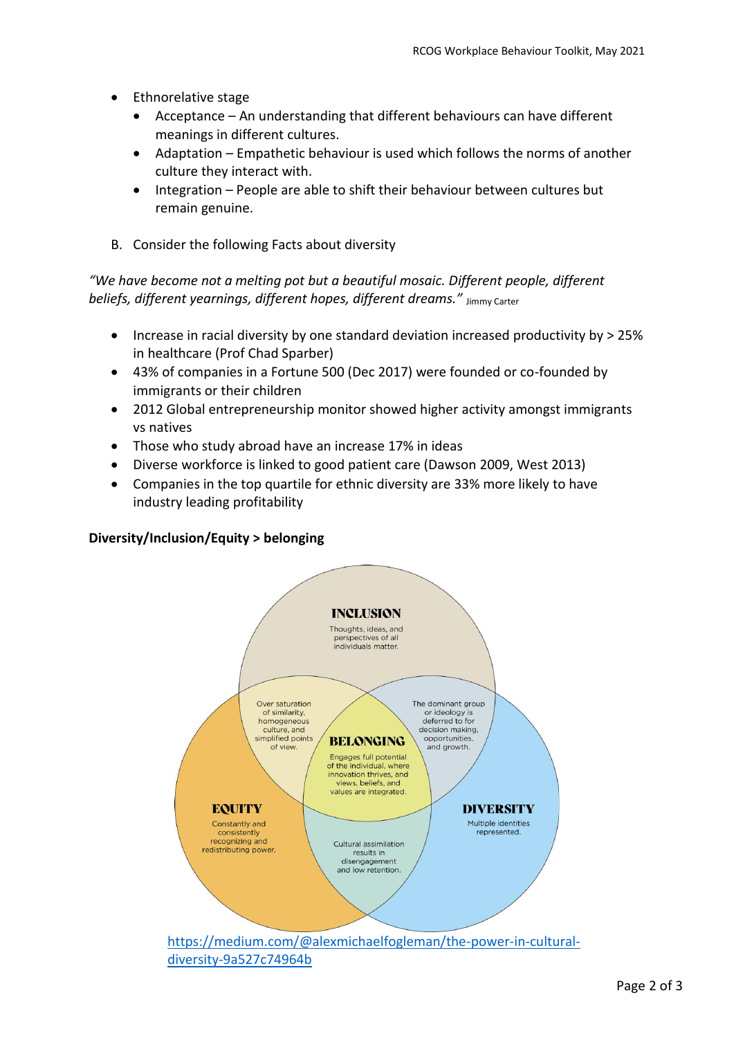- Ethnorelative stage
	- Acceptance An understanding that different behaviours can have different meanings in different cultures.
	- Adaptation Empathetic behaviour is used which follows the norms of another culture they interact with.
	- Integration People are able to shift their behaviour between cultures but remain genuine.
- B. Consider the following Facts about diversity

*"We have become not a melting pot but a beautiful mosaic. Different people, different beliefs, different yearnings, different hopes, different dreams."* Jimmy Carter

- Increase in racial diversity by one standard deviation increased productivity by > 25% in healthcare (Prof Chad Sparber)
- 43% of companies in a Fortune 500 (Dec 2017) were founded or co-founded by immigrants or their children
- 2012 Global entrepreneurship monitor showed higher activity amongst immigrants vs natives
- Those who study abroad have an increase 17% in ideas
- Diverse workforce is linked to good patient care (Dawson 2009, West 2013)
- Companies in the top quartile for ethnic diversity are 33% more likely to have industry leading profitability

### **Diversity/Inclusion/Equity > belonging**